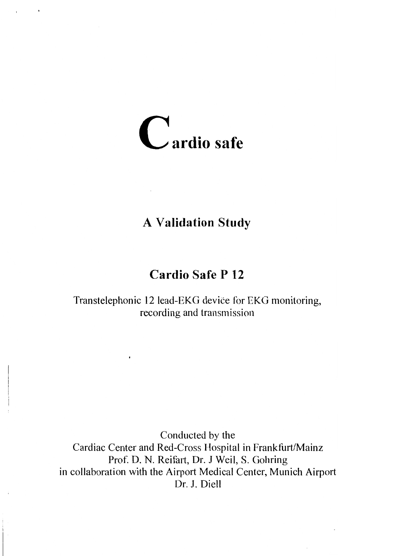

# **A Validation Study**

# Cardio Safe P 12

Transtelephonic 12 lead-EKG device for EKG monitoring, recording and transmission

Conducted by the cardiac center and Red-cross Hospital in Frankfurt/Mainz Prof. D. N. Reifart, Dr. J Weil, S. Gohring in collaboration with the Airport Medical Center, Munich Airport Dr. J. Diell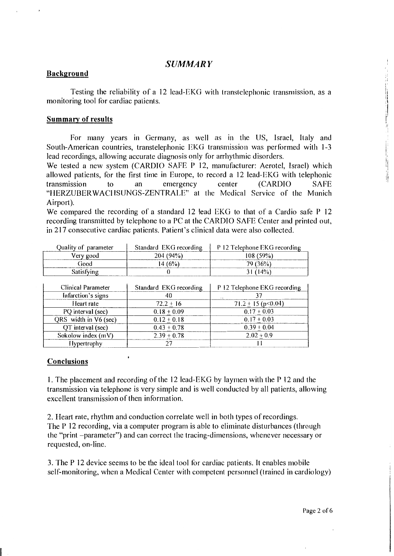### SUMMARI'

### Background

Testing the reliability of a 12 lead-EKG with transtelephonic transmission, as a monitoring tool for cardiac patients.

#### Summary of results

For many years in Germany, as well as in the US, Israel, Italy and South-American countries, transtelephonic EKG transmission was performed with 1-3 lead recordings, allowing accurate diagnosis only for arrhythmic disorders.

We tested a new system (CARDIO SAFE P 12, manufacturer: Aerotel, Israel) which allowed patients, for the first time in Europe, to record a 12 lead-EKG with telephonic transmission to an emergency center (CARDIO SAFE "HERZUBERWACHSUNGS-ZENTRALE" at the Medical Service of the Munich Airport).

We compared the recording of a standard 12 lead EKG to that of a Cardio safe  $P$  12 recording transmitted by telephone to a PC at the CARDIO SAFE Center and printed out, in2l7 consecutive cardiac patients. Patient's clinical data were also collected.

| Ouality of parameter | Standard EKG recording | P 12 Telephone EKG recording |
|----------------------|------------------------|------------------------------|
| Very good            | 204(94%)               | $108(59\%)$                  |
| Good                 | $(4.6\%)$              | 79 (36%)                     |
| Satisfying           |                        | 31(14%)                      |

| Clinical Parameter    | Standard EKG recording | P 12 Telephone EKG recording |
|-----------------------|------------------------|------------------------------|
| Infarction's signs    | 40                     | <b>A</b>                     |
| Heart rate            | $72.2 + 16$            | $71.2 \pm 15$ (p $< 0.04$ )  |
| PQ interval (sec)     | $0.18 + 0.09$          | $0.17 + 0.03$                |
| QRS width in V6 (sec) | $0.12 + 0.18$          | $0.17 + 0.03$                |
| QT interval (sec)     | $0.43 + 0.78$          | $0.39 + 0.04$                |
| Sokolow index (mV)    | $2.39 + 0.78$          | $2.02 + 0.9$                 |
| Hypertrophy           |                        |                              |

 $\cdot$ 

### Conclusions

1. The placement and recording of the 12 lead-EKG by laymen with the P 12 and the transmission via telephone is very simple and is well conducted by all patients, allowing excellent transmission of then information.

2.Heart rate, rhythm and conduction correlate well in both types of recordings. The P 12 recording, via a computer program is able to eliminate disturbances (through the "print -parameter") and can correct the tracing-dimensions, whenever necessary or requested, on-line.

3. The P 12 device seems to be the ideal tool for cardiac patients. It enables mobile self-monitoring, when a Medical Center with competent personnel (trained in cardiology)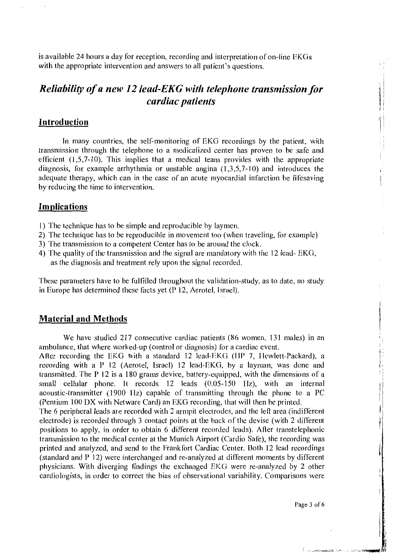is available 24 hours a day for reception, recording and interpretation of on-line EKGs with the appropriate intervention and answers to all patient's questions.

# Reliability of a new 12 lead-EKG with telephone transmission for cardiac patients

# Introduction

In many countries, the self-monitoring of EKG recordings by the patient, with transmission through the telephone to a nreclicalized center has proven to be safe and efficient  $(1,5,7-10)$ . This implies that a medical team provides with the appropriate diagnosis, for example arrhythmia or unstable angina  $(1,3,5,7-10)$  and introduces the adequate therapy, which can in the case of an acute myocardial infarction be lifesaving by reducing the time to intervention.

## Implications

- l) The technique has to be simple and reproducible by laymen'
- 2) The technique has to be reproducible in movement too (when traveling, for example)
- 3) The transmission to a competent Center has to be around the clock'
- 4) The quality of the transmission and the signal are mandatory with the 12 lead-  $EKG$ , as the diagnosis and treatment rely upon the signal recorded.

These parameters have to be fulfilled throughout the validation-study, as to date, no study in Europe has determined these facts yet (P 12, Aerotel, Israel).

### Material and Methods

We have studied 217 consecutive cardiac patients (86 women, 131 males) in an ambulance, that where worked-up (control or diagnosis) for a cardiac event.

After recording the EKG with a standard 12 lead-EKG (HP 7, Hewlett-Packard), a recording with a P 12 (Aerotel, Israel) 12 lead-EKG, by a layman, was done and transmitted. The  $P$  12 is a 180 grams device, battery-equipped, with the dimensions of a small cellular phone. It records  $12$  leads  $(0.05-150)$  Hz), with an internal acoustic-transmitfer (1900 IIz) capable of transmitting through the phone to a PC (Pentium 100 DX with Netware Card) an EKG recording, that will then be printed.

The 6 peripheral leads are recorded with 2 armpit electrodes, and the left area (indifferent electrode) is recorded through 3 contact points at the back of the devise (with 2 different positions to apply, in order to obtain 6 different recorded leads). After transtelephonic iransmission to the medical center at the Munich Airport (Cardio Safe), the recording was printed and analyzed, and send to the Frankfort Cardiac Center. Both l2 lead recordings  $s$  (standard and P 12) were interchanged and re-analyzed at different moments by different physicians. With diverging findings the exchanged EKG were re-analyzed by 2 other cardiologists, in order to correct the bias of observational variability. Comparisons were

Page 3 of 6

.<br>Principality of the constant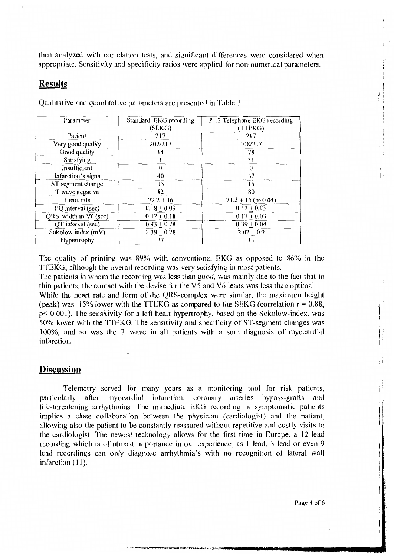then analyzed with correlation tests, and significant differences were considered when appropriate. Sensitivity and specificity ratios were applied for non-numerical parameters.

## **Results**

| Parameter             | Standard EKG recording | P 12 Telephone EKG recording |
|-----------------------|------------------------|------------------------------|
|                       | (SEKG)                 | (TTEKG)                      |
| Patient               | 217                    | 217                          |
| Very good quality     | 202/217                | 108/217                      |
| Good quality          | $\overline{14}$        | 78                           |
| Satisfying            |                        | 31                           |
| Insufficient          | $\theta$               | $\theta$                     |
| Infarction's signs    | 40                     | 37                           |
| ST segment change     | 15                     | 15                           |
| T wave negative       | 82                     | 80                           |
| Heart rate            | $72.2 + 16$            | 71.2 $\pm$ 15 (p<0.04)       |
| PQ interval (sec)     | $0.18 + 0.09$          | $0.17 + 0.03$                |
| QRS width in V6 (sec) | $0.12 + 0.18$          | $0.17 + 0.03$                |
| QT interval (sec)     | $0.43 + 0.78$          | $0.39 + 0.04$                |
| Sokolow index (mV)    | $2.39 + 0.78$          | $2.02 + 0.9$                 |
| Hypertrophy           | 27                     | Н                            |

Qualitative and quantitative parameters are presented in Table 1.

The quality of printing was 89% with conventional EKG as opposed to 86% in the TTEKG, although the overall recording was very satisfying in most patients. TTEKG, although the overall recording was very satisfying in most patients.<br>The patients in whom the recording was less than good, was mainly due to the

The patients in whom the recording was less than good, was mainly due to the fact that in<br>thin patients, the contact with the devise for the V5 and V6 leads was less than optimal thin patients, the contact with the devise for the V5 and V6 leads was less than optimal.

While the heart rate and form of the QRS-complex were similar, the maximum height (peak) was 15% lower with the TTEKG as compared to the SEKG (correlation  $r = 0.88$ ,  $p < 0.001$ ). The sensitivity for a left heart hypertrophy, based on the Sokolow-index, was p< 0.001). The sensitivity for a left heart hypertrophy, based on the Sokolow-index, was<br>50% lower with the TTEKG. The sensitivity and specificity of ST-segment changes was 50% lower with the TTEKG. The sensitivity and specificity of ST-segment changes was<br>100% and so was the T wave in all patients with a sure diagnosis of myogardial 100%, and so was the T wave in all patients with a sure diagnosis of myocardial infarction. infarction.

### **Discussion**

Telemetry served for many years as a monitoring tool for risk patients,<br>larly after myocardial infarction, coronary arteries bypass-grafts and particularly after myocardial infarction, coronary arteries bypass-grafts life-threatening arrhythmias. The immediate EKG recording in symptomatic patients implies a close collaboration between the physician (cardiologist) and the patient, allowing also the patient to be constantly reassured without repetitive and costly visits to the cardiologist. The newest technology allows for the first time in Europe, a 12 lead recording which is of utmost importance in our experience, as 1 lead, 3 lead or even 9 lead recordings can only diagnose arrhythmia's with no recognition of lateral wall infarction (11).

Page 4 of 6

计时间